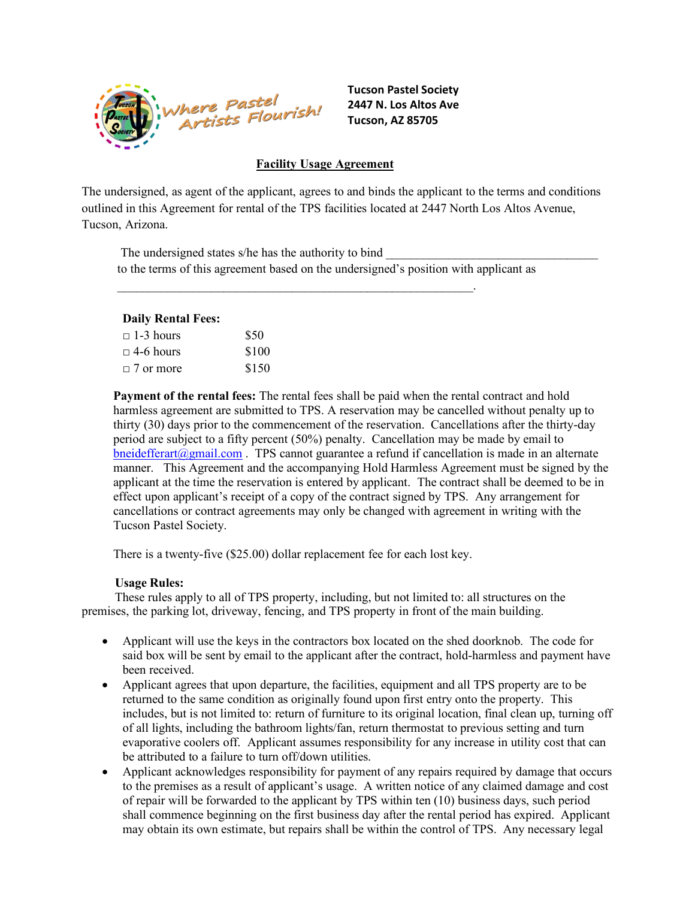

**Tucson Pastel Society 2447 N. Los Altos Ave Tucson, AZ 85705**

## **Facility Usage Agreement**

The undersigned, as agent of the applicant, agrees to and binds the applicant to the terms and conditions outlined in this Agreement for rental of the TPS facilities located at 2447 North Los Altos Avenue, Tucson, Arizona.

The undersigned states s/he has the authority to bind to the terms of this agreement based on the undersigned's position with applicant as

 $\mathcal{L}_\text{max}$  and  $\mathcal{L}_\text{max}$  and  $\mathcal{L}_\text{max}$  and  $\mathcal{L}_\text{max}$  and  $\mathcal{L}_\text{max}$ 

#### **Daily Rental Fees:**

| $\Box$ 1-3 hours | \$50  |
|------------------|-------|
| $\Box$ 4-6 hours | \$100 |
| $\Box$ 7 or more | \$150 |

**Payment of the rental fees:** The rental fees shall be paid when the rental contract and hold harmless agreement are submitted to TPS. A reservation may be cancelled without penalty up to thirty (30) days prior to the commencement of the reservation. Cancellations after the thirty-day period are subject to a fifty percent (50%) penalty. Cancellation may be made by email to  $bneidefferart(2gmail.com)$ . TPS cannot guarantee a refund if cancellation is made in an alternate manner. This Agreement and the accompanying Hold Harmless Agreement must be signed by the applicant at the time the reservation is entered by applicant. The contract shall be deemed to be in effect upon applicant's receipt of a copy of the contract signed by TPS. Any arrangement for cancellations or contract agreements may only be changed with agreement in writing with the Tucson Pastel Society.

There is a twenty-five (\$25.00) dollar replacement fee for each lost key.

#### **Usage Rules:**

These rules apply to all of TPS property, including, but not limited to: all structures on the premises, the parking lot, driveway, fencing, and TPS property in front of the main building.

- Applicant will use the keys in the contractors box located on the shed doorknob. The code for said box will be sent by email to the applicant after the contract, hold-harmless and payment have been received.
- Applicant agrees that upon departure, the facilities, equipment and all TPS property are to be returned to the same condition as originally found upon first entry onto the property. This includes, but is not limited to: return of furniture to its original location, final clean up, turning off of all lights, including the bathroom lights/fan, return thermostat to previous setting and turn evaporative coolers off. Applicant assumes responsibility for any increase in utility cost that can be attributed to a failure to turn off/down utilities.
- Applicant acknowledges responsibility for payment of any repairs required by damage that occurs to the premises as a result of applicant's usage. A written notice of any claimed damage and cost of repair will be forwarded to the applicant by TPS within ten (10) business days, such period shall commence beginning on the first business day after the rental period has expired. Applicant may obtain its own estimate, but repairs shall be within the control of TPS. Any necessary legal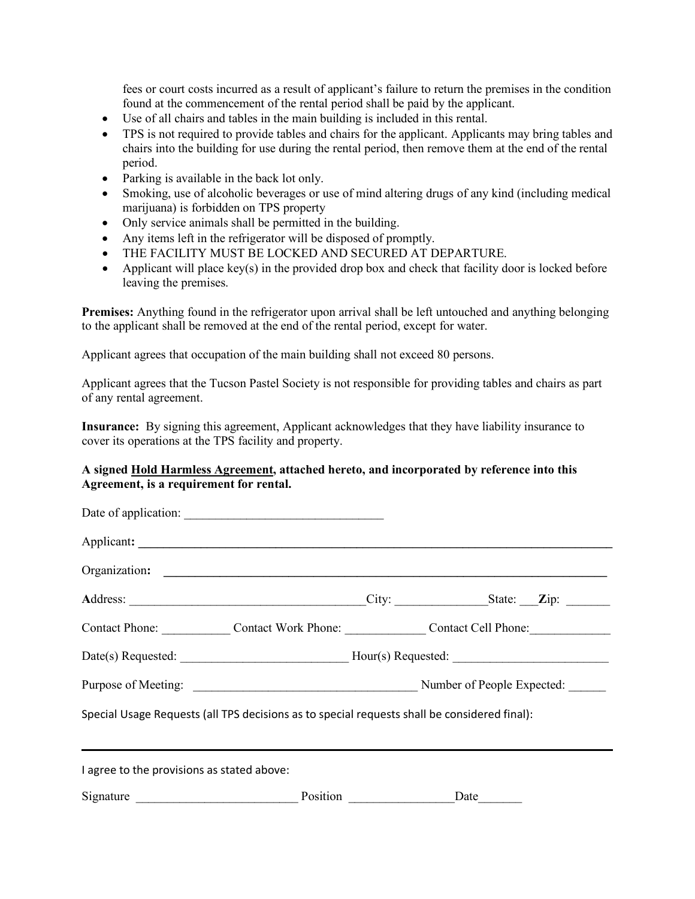fees or court costs incurred as a result of applicant's failure to return the premises in the condition found at the commencement of the rental period shall be paid by the applicant.

- Use of all chairs and tables in the main building is included in this rental.
- TPS is not required to provide tables and chairs for the applicant. Applicants may bring tables and chairs into the building for use during the rental period, then remove them at the end of the rental period.
- Parking is available in the back lot only.
- Smoking, use of alcoholic beverages or use of mind altering drugs of any kind (including medical marijuana) is forbidden on TPS property
- Only service animals shall be permitted in the building.
- Any items left in the refrigerator will be disposed of promptly.
- THE FACILITY MUST BE LOCKED AND SECURED AT DEPARTURE.
- Applicant will place key(s) in the provided drop box and check that facility door is locked before leaving the premises.

**Premises:** Anything found in the refrigerator upon arrival shall be left untouched and anything belonging to the applicant shall be removed at the end of the rental period, except for water.

Applicant agrees that occupation of the main building shall not exceed 80 persons.

Applicant agrees that the Tucson Pastel Society is not responsible for providing tables and chairs as part of any rental agreement.

**Insurance:** By signing this agreement, Applicant acknowledges that they have liability insurance to cover its operations at the TPS facility and property.

## **A signed Hold Harmless Agreement, attached hereto, and incorporated by reference into this Agreement, is a requirement for rental.**

|                                                                                              |  | Contact Phone: Contact Work Phone: Contact Cell Phone: |
|----------------------------------------------------------------------------------------------|--|--------------------------------------------------------|
|                                                                                              |  | Date(s) Requested: Hour(s) Requested:                  |
|                                                                                              |  |                                                        |
| Special Usage Requests (all TPS decisions as to special requests shall be considered final): |  |                                                        |
| I agree to the provisions as stated above:                                                   |  |                                                        |
| Signature Position                                                                           |  | Date                                                   |